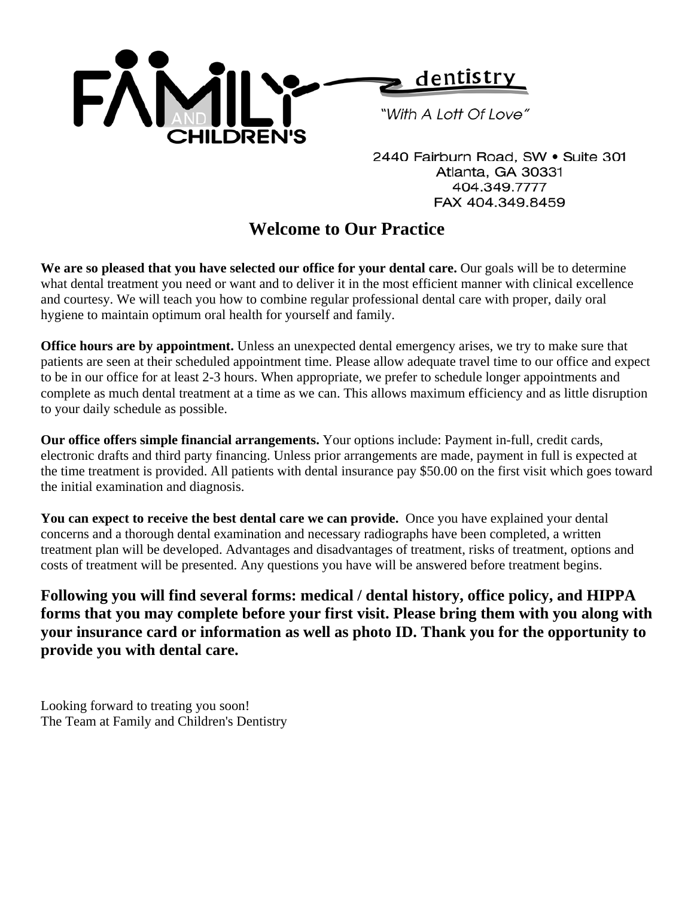

2440 Fairburn Road, SW . Suite 301 Atlanta, GA 30331 404.349.7777 FAX 404.349.8459

# **Welcome to Our Practice**

**We are so pleased that you have selected our office for your dental care.** Our goals will be to determine what dental treatment you need or want and to deliver it in the most efficient manner with clinical excellence and courtesy. We will teach you how to combine regular professional dental care with proper, daily oral hygiene to maintain optimum oral health for yourself and family.

**Office hours are by appointment.** Unless an unexpected dental emergency arises, we try to make sure that patients are seen at their scheduled appointment time. Please allow adequate travel time to our office and expect to be in our office for at least 2-3 hours. When appropriate, we prefer to schedule longer appointments and complete as much dental treatment at a time as we can. This allows maximum efficiency and as little disruption to your daily schedule as possible.

**Our office offers simple financial arrangements.** Your options include: Payment in-full, credit cards, electronic drafts and third party financing. Unless prior arrangements are made, payment in full is expected at the time treatment is provided. All patients with dental insurance pay \$50.00 on the first visit which goes toward the initial examination and diagnosis.

**You can expect to receive the best dental care we can provide.** Once you have explained your dental concerns and a thorough dental examination and necessary radiographs have been completed, a written treatment plan will be developed. Advantages and disadvantages of treatment, risks of treatment, options and costs of treatment will be presented. Any questions you have will be answered before treatment begins.

**Following you will find several forms: medical / dental history, office policy, and HIPPA forms that you may complete before your first visit. Please bring them with you along with your insurance card or information as well as photo ID. Thank you for the opportunity to provide you with dental care.** 

Looking forward to treating you soon! The Team at Family and Children's Dentistry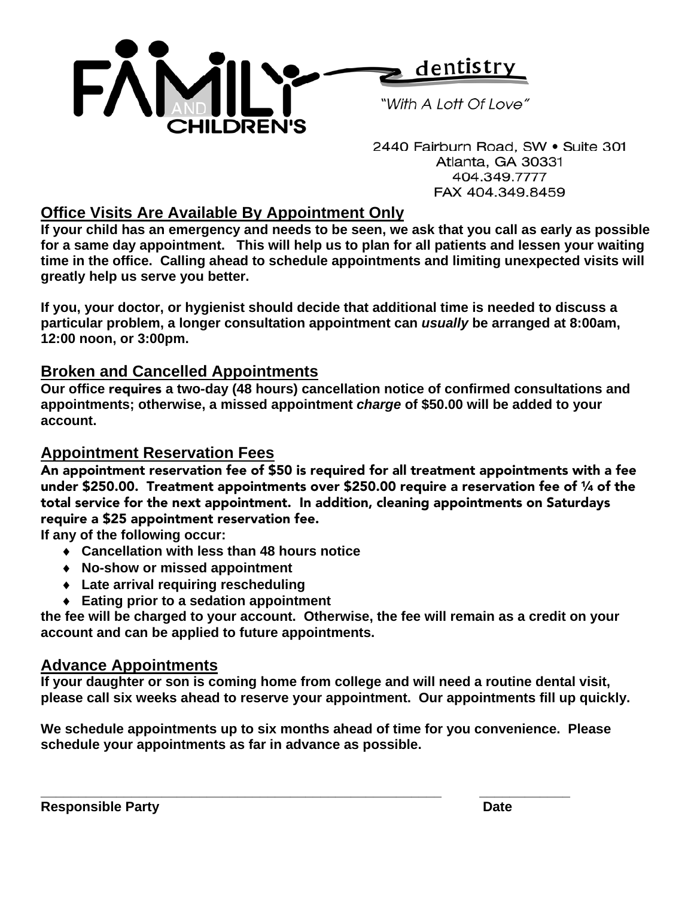

2440 Fairburn Road, SW . Suite 301 Atlanta, GA 30331 404.349.7777 FAX 404.349.8459

# **Office Visits Are Available By Appointment Only**

If your child has an emergency and needs to be seen, we ask that you call as early as possible **for a same day appointment. This will help us to plan for all patients and lessen your waiting time in the office. Calling ahead to schedule appointments and limiting unexpected visits will greatly help us serve you better.** 

 **you, your doctor, or hygienist should decide that additional time is needed to discuss a If particular problem, a longer consultation appointment can** *usually* **be arranged at 8:00am, 12:00 noon, or 3:00pm.** 

### **Broken and Cancelled Appointments**

**Our office requires a two-day (48 hours) cancellation notice of confirmed consultations and appointments; otherwise, a missed appointment** *charge* **of \$50.00 will be added to your account.** 

# **Appointment Reservation Fees**

An appointment reservation fee of \$50 is required for all treatment appointments with a fee under \$250.00. Treatment appointments over \$250.00 require a reservation fee of ¼ of the total service for the next appointment. In addition, cleaning appointments on Saturdays require a \$25 appointment reservation fee.

**If any of the following occur:** 

- $\bullet$  Cancellation with less than 48 hours notice
- **No-show or missed appointment**
- **Late arrival requiring rescheduling**
- $\bullet$  Eating prior to a sedation appointment

the fee will be charged to your account. Otherwise, the fee will remain as a credit on your **account and can be applied to future appointments.** 

# **Advance Appointments**

If your daughter or son is coming home from college and will need a routine dental visit, please call six weeks ahead to reserve your appointment. Our appointments fill up quickly.

**e schedule appointments up to six months ahead of time for you convenience. Please W schedule your appointments as far in advance as possible.** 

**\_\_\_\_\_\_\_\_\_\_\_\_\_\_\_\_\_\_\_\_\_\_\_\_\_\_\_\_\_\_\_\_\_\_\_\_\_\_\_\_\_\_\_\_\_\_\_\_\_\_\_\_ \_\_\_\_\_\_\_\_\_\_\_\_** 

**\_**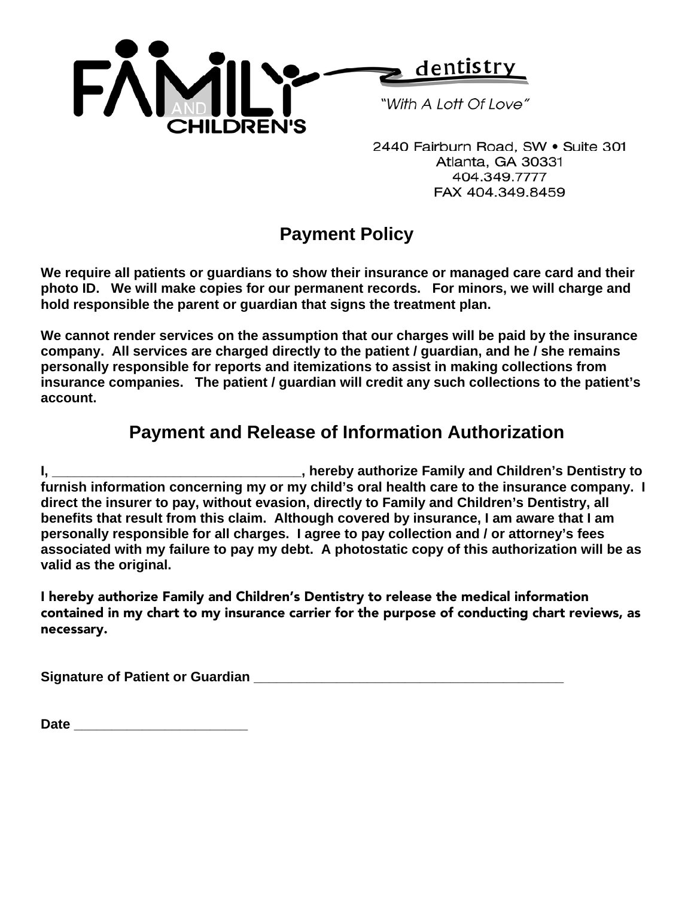

dentistry

"With A Lott Of Love"

2440 Fairburn Road, SW . Suite 301 Atlanta, GA 30331 404.349.7777 FAX 404.349.8459

# **Payment Policy**

**We require all patients or guardians to show their insurance or managed care card and their photo ID. We will make copies for our permanent records. For minors, we will charge and hold responsible the parent or guardian that signs the treatment plan.** 

**We cannot render services on the assumption that our charges will be paid by the insurance company. All services are charged directly to the patient / guardian, and he / she remains personally responsible for reports and itemizations to assist in making collections from insurance companies. The patient / guardian will credit any such collections to the patient's account.** 

# **Payment and Release of Information Authorization**

**I, \_\_\_\_\_\_\_\_\_\_\_\_\_\_\_\_\_\_\_\_\_\_\_\_\_\_\_\_\_\_\_\_\_, hereby authorize Family and Children's Dentistry to furnish information concerning my or my child's oral health care to the insurance company. I direct the insurer to pay, without evasion, directly to Family and Children's Dentistry, all benefits that result from this claim. Although covered by insurance, I am aware that I am personally responsible for all charges. I agree to pay collection and / or attorney's fees associated with my failure to pay my debt. A photostatic copy of this authorization will be as valid as the original.** 

I hereby authorize Family and Children's Dentistry to release the medical information contained in my chart to my insurance carrier for the purpose of conducting chart reviews, as necessary.

**Signature of Patient or Guardian \_\_\_\_\_\_\_\_\_\_\_\_\_\_\_\_\_\_\_\_\_\_\_\_\_\_\_\_\_\_\_\_\_\_\_\_\_\_\_\_\_** 

**Date Date** *now a* **2009 <b>***now a* 2009 *now a* 2009 *now a* 2009 *now a* **2009 <b>***now a* 2009 *now a* 2009 *now a* 2009 *now a* 2009 *now a* 2009 *now a* 2009 *now a* 2009 *now a* 2009 *now a* 2009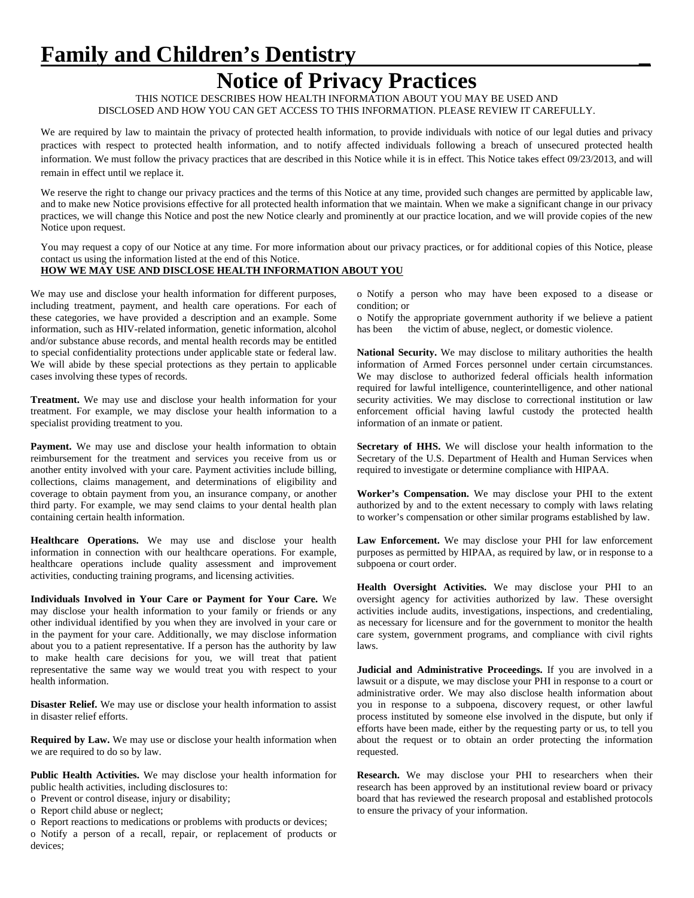# **Family and Children's Dentistry** \_

# **Notice of Privacy Practices**

THIS NOTICE DESCRIBES HOW HEALTH INFORMATION ABOUT YOU MAY BE USED AND DISCLOSED AND HOW YOU CAN GET ACCESS TO THIS INFORMATION. PLEASE REVIEW IT CAREFULLY.

We are required by law to maintain the privacy of protected health information, to provide individuals with notice of our legal duties and privacy practices with respect to protected health information, and to notify affected individuals following a breach of unsecured protected health information. We must follow the privacy practices that are described in this Notice while it is in effect. This Notice takes effect 09/23/2013, and will remain in effect until we replace it.

We reserve the right to change our privacy practices and the terms of this Notice at any time, provided such changes are permitted by applicable law, and to make new Notice provisions effective for all protected health information that we maintain. When we make a significant change in our privacy practices, we will change this Notice and post the new Notice clearly and prominently at our practice location, and we will provide copies of the new Notice upon request.

You may request a copy of our Notice at any time. For more information about our privacy practices, or for additional copies of this Notice, please contact us using the information listed at the end of this Notice.

### **HOW WE MAY USE AND DISCLOSE HEALTH INFORMATION ABOUT YOU**

We may use and disclose your health information for different purposes, including treatment, payment, and health care operations. For each of these categories, we have provided a description and an example. Some information, such as HIV-related information, genetic information, alcohol and/or substance abuse records, and mental health records may be entitled to special confidentiality protections under applicable state or federal law. We will abide by these special protections as they pertain to applicable cases involving these types of records.

**Treatment.** We may use and disclose your health information for your treatment. For example, we may disclose your health information to a specialist providing treatment to you.

Payment. We may use and disclose your health information to obtain reimbursement for the treatment and services you receive from us or another entity involved with your care. Payment activities include billing, collections, claims management, and determinations of eligibility and coverage to obtain payment from you, an insurance company, or another third party. For example, we may send claims to your dental health plan containing certain health information.

**Healthcare Operations.** We may use and disclose your health information in connection with our healthcare operations. For example, healthcare operations include quality assessment and improvement activities, conducting training programs, and licensing activities.

**Individuals Involved in Your Care or Payment for Your Care.** We may disclose your health information to your family or friends or any other individual identified by you when they are involved in your care or in the payment for your care. Additionally, we may disclose information about you to a patient representative. If a person has the authority by law to make health care decisions for you, we will treat that patient representative the same way we would treat you with respect to your health information.

**Disaster Relief.** We may use or disclose your health information to assist in disaster relief efforts.

**Required by Law.** We may use or disclose your health information when we are required to do so by law.

**Public Health Activities.** We may disclose your health information for public health activities, including disclosures to:

o Prevent or control disease, injury or disability;

o Report child abuse or neglect;

o Report reactions to medications or problems with products or devices; o Notify a person of a recall, repair, or replacement of products or devices;

o Notify a person who may have been exposed to a disease or condition; or

o Notify the appropriate government authority if we believe a patient has been the victim of abuse, neglect, or domestic violence.

**National Security.** We may disclose to military authorities the health information of Armed Forces personnel under certain circumstances. We may disclose to authorized federal officials health information required for lawful intelligence, counterintelligence, and other national security activities. We may disclose to correctional institution or law enforcement official having lawful custody the protected health information of an inmate or patient.

**Secretary of HHS.** We will disclose your health information to the Secretary of the U.S. Department of Health and Human Services when required to investigate or determine compliance with HIPAA.

**Worker's Compensation.** We may disclose your PHI to the extent authorized by and to the extent necessary to comply with laws relating to worker's compensation or other similar programs established by law.

**Law Enforcement.** We may disclose your PHI for law enforcement purposes as permitted by HIPAA, as required by law, or in response to a subpoena or court order.

**Health Oversight Activities.** We may disclose your PHI to an oversight agency for activities authorized by law. These oversight activities include audits, investigations, inspections, and credentialing, as necessary for licensure and for the government to monitor the health care system, government programs, and compliance with civil rights laws.

**Judicial and Administrative Proceedings.** If you are involved in a lawsuit or a dispute, we may disclose your PHI in response to a court or administrative order. We may also disclose health information about you in response to a subpoena, discovery request, or other lawful process instituted by someone else involved in the dispute, but only if efforts have been made, either by the requesting party or us, to tell you about the request or to obtain an order protecting the information requested.

**Research.** We may disclose your PHI to researchers when their research has been approved by an institutional review board or privacy board that has reviewed the research proposal and established protocols to ensure the privacy of your information.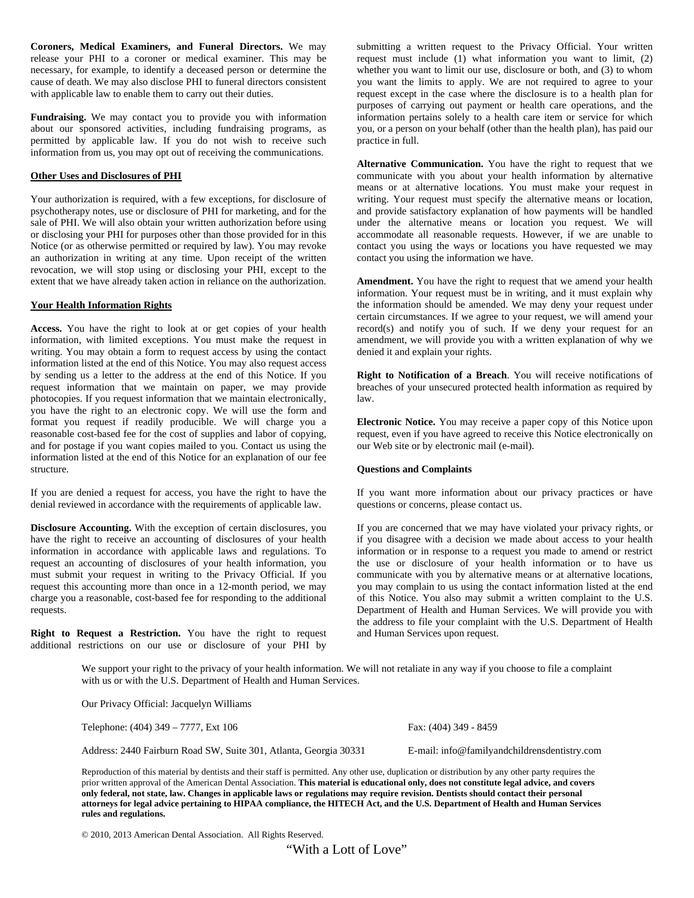**Coroners, Medical Examiners, and Funeral Directors.** We may release your PHI to a coroner or medical examiner. This may be necessary, for example, to identify a deceased person or determine the cause of death. We may also disclose PHI to funeral directors consistent with applicable law to enable them to carry out their duties.

**Fundraising.** We may contact you to provide you with information about our sponsored activities, including fundraising programs, as permitted by applicable law. If you do not wish to receive such information from us, you may opt out of receiving the communications.

### **Other Uses and Disclosures of PHI**

Your authorization is required, with a few exceptions, for disclosure of psychotherapy notes, use or disclosure of PHI for marketing, and for the sale of PHI. We will also obtain your written authorization before using or disclosing your PHI for purposes other than those provided for in this Notice (or as otherwise permitted or required by law). You may revoke an authorization in writing at any time. Upon receipt of the written revocation, we will stop using or disclosing your PHI, except to the extent that we have already taken action in reliance on the authorization.

#### **Your Health Information Rights**

**Access.** You have the right to look at or get copies of your health information, with limited exceptions. You must make the request in writing. You may obtain a form to request access by using the contact information listed at the end of this Notice. You may also request access by sending us a letter to the address at the end of this Notice. If you request information that we maintain on paper, we may provide photocopies. If you request information that we maintain electronically, you have the right to an electronic copy. We will use the form and format you request if readily producible. We will charge you a reasonable cost-based fee for the cost of supplies and labor of copying, and for postage if you want copies mailed to you. Contact us using the information listed at the end of this Notice for an explanation of our fee structure.

If you are denied a request for access, you have the right to have the denial reviewed in accordance with the requirements of applicable law.

**Disclosure Accounting.** With the exception of certain disclosures, you have the right to receive an accounting of disclosures of your health information in accordance with applicable laws and regulations. To request an accounting of disclosures of your health information, you must submit your request in writing to the Privacy Official. If you request this accounting more than once in a 12-month period, we may charge you a reasonable, cost-based fee for responding to the additional requests.

**Right to Request a Restriction.** You have the right to request additional restrictions on our use or disclosure of your PHI by

Our Privacy Official: Jacquelyn Williams

submitting a written request to the Privacy Official. Your written request must include  $(1)$  what information you want to limit,  $(2)$ whether you want to limit our use, disclosure or both, and (3) to whom you want the limits to apply. We are not required to agree to your request except in the case where the disclosure is to a health plan for purposes of carrying out payment or health care operations, and the information pertains solely to a health care item or service for which you, or a person on your behalf (other than the health plan), has paid our practice in full.

**Alternative Communication.** You have the right to request that we communicate with you about your health information by alternative means or at alternative locations. You must make your request in writing. Your request must specify the alternative means or location, and provide satisfactory explanation of how payments will be handled under the alternative means or location you request. We will accommodate all reasonable requests. However, if we are unable to contact you using the ways or locations you have requested we may contact you using the information we have.

**Amendment.** You have the right to request that we amend your health information. Your request must be in writing, and it must explain why the information should be amended. We may deny your request under certain circumstances. If we agree to your request, we will amend your record(s) and notify you of such. If we deny your request for an amendment, we will provide you with a written explanation of why we denied it and explain your rights.

**Right to Notification of a Breach**. You will receive notifications of breaches of your unsecured protected health information as required by law.

**Electronic Notice.** You may receive a paper copy of this Notice upon request, even if you have agreed to receive this Notice electronically on our Web site or by electronic mail (e-mail).

#### **Questions and Complaints**

If you want more information about our privacy practices or have questions or concerns, please contact us.

If you are concerned that we may have violated your privacy rights, or if you disagree with a decision we made about access to your health information or in response to a request you made to amend or restrict the use or disclosure of your health information or to have us communicate with you by alternative means or at alternative locations, you may complain to us using the contact information listed at the end of this Notice. You also may submit a written complaint to the U.S. Department of Health and Human Services. We will provide you with the address to file your complaint with the U.S. Department of Health and Human Services upon request.

We support your right to the privacy of your health information. We will not retaliate in any way if you choose to file a complaint with us or with the U.S. Department of Health and Human Services.

Telephone: (404) 349 – 7777, Ext 106 Fax: (404) 349 - 8459 Address: 2440 Fairburn Road SW, Suite 301, Atlanta, Georgia 30331 E-mail: info@familyandchildrensdentistry.com

Reproduction of this material by dentists and their staff is permitted. Any other use, duplication or distribution by any other party requires the prior written approval of the American Dental Association. **This material is educational only, does not constitute legal advice, and covers only federal, not state, law. Changes in applicable laws or regulations may require revision. Dentists should contact their personal attorneys for legal advice pertaining to HIPAA compliance, the HITECH Act, and the U.S. Department of Health and Human Services rules and regulations.** 

© 2010, 2013 American Dental Association. All Rights Reserved.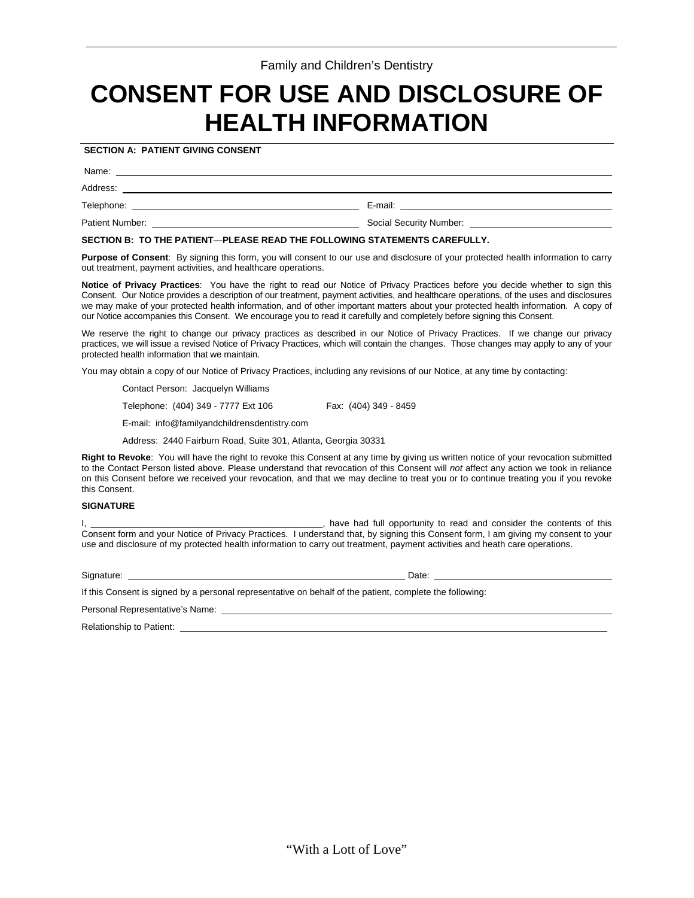# **CONSENT FOR USE AND DISCLOSURE OF HEALTH INFORMATION**

### **SECTION A: PATIENT GIVING CONSENT**

Name:

Address:

Telephone: E-mail:

Patient Number: Social Security Number:

#### **SECTION B: TO THE PATIENT**—**PLEASE READ THE FOLLOWING STATEMENTS CAREFULLY.**

**Purpose of Consent**: By signing this form, you will consent to our use and disclosure of your protected health information to carry out treatment, payment activities, and healthcare operations.

**Notice of Privacy Practices**: You have the right to read our Notice of Privacy Practices before you decide whether to sign this Consent. Our Notice provides a description of our treatment, payment activities, and healthcare operations, of the uses and disclosures we may make of your protected health information, and of other important matters about your protected health information. A copy of our Notice accompanies this Consent. We encourage you to read it carefully and completely before signing this Consent.

We reserve the right to change our privacy practices as described in our Notice of Privacy Practices. If we change our privacy practices, we will issue a revised Notice of Privacy Practices, which will contain the changes. Those changes may apply to any of your protected health information that we maintain.

You may obtain a copy of our Notice of Privacy Practices, including any revisions of our Notice, at any time by contacting:

Contact Person: Jacquelyn Williams

Telephone: (404) 349 - 7777 Ext 106 Fax: (404) 349 - 8459

E-mail: info@familyandchildrensdentistry.com

Address: 2440 Fairburn Road, Suite 301, Atlanta, Georgia 30331

**Right to Revoke**: You will have the right to revoke this Consent at any time by giving us written notice of your revocation submitted to the Contact Person listed above. Please understand that revocation of this Consent will *not* affect any action we took in reliance on this Consent before we received your revocation, and that we may decline to treat you or to continue treating you if you revoke this Consent.

#### **SIGNATURE**

I, \_\_\_\_\_\_\_\_\_\_\_\_\_\_\_\_\_\_\_\_\_\_\_\_\_\_\_\_\_\_\_\_\_\_\_\_\_\_\_\_\_\_\_\_\_\_, have had full opportunity to read and consider the contents of this Consent form and your Notice of Privacy Practices. I understand that, by signing this Consent form, I am giving my consent to your use and disclosure of my protected health information to carry out treatment, payment activities and heath care operations.

Signature: Date: Date: Date: Date: Date: Date: Date: Date: Date: Date: Date: Date: Date: Date: Date: Date: Date: Date: Date: Date: Date: Date: Date: Date: Date: Date: Date: Date: Date: Date: Date: Date: Date: Date: Date: D

If this Consent is signed by a personal representative on behalf of the patient, complete the following:

Personal Representative's Name:

Relationship to Patient: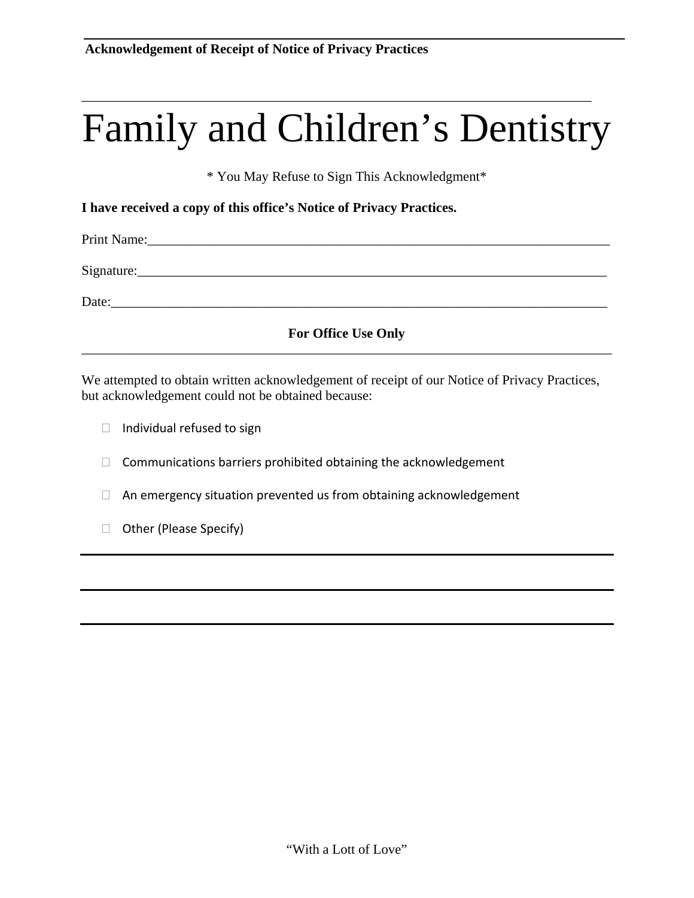# Family and Children's Dentistry

\_\_\_\_\_\_\_\_\_\_\_\_\_\_\_\_\_\_\_\_\_\_\_\_\_\_\_\_\_\_\_\_\_\_\_\_\_\_\_\_\_\_\_\_\_\_\_\_\_\_\_\_\_\_\_\_\_\_\_\_\_\_\_\_\_\_\_\_\_\_\_\_\_\_\_

\* You May Refuse to Sign This Acknowledgment\*

**I have received a copy of this office's Notice of Privacy Practices.** 

Print Name:\_\_\_\_\_\_\_\_\_\_\_\_\_\_\_\_\_\_\_\_\_\_\_\_\_\_\_\_\_\_\_\_\_\_\_\_\_\_\_\_\_\_\_\_\_\_\_\_\_\_\_\_\_\_\_\_\_\_\_\_\_\_\_\_\_\_\_\_

Signature:

Date:\_\_\_\_\_\_\_\_\_\_\_\_\_\_\_\_\_\_\_\_\_\_\_\_\_\_\_\_\_\_\_\_\_\_\_\_\_\_\_\_\_\_\_\_\_\_\_\_\_\_\_\_\_\_\_\_\_\_\_\_\_\_\_\_\_\_\_\_\_\_\_\_\_

### **For Office Use Only**  \_\_\_\_\_\_\_\_\_\_\_\_\_\_\_\_\_\_\_\_\_\_\_\_\_\_\_\_\_\_\_\_\_\_\_\_\_\_\_\_\_\_\_\_\_\_\_\_\_\_\_\_\_\_\_\_\_\_\_\_\_\_\_\_\_\_\_\_\_\_\_\_\_\_\_\_\_\_

We attempted to obtain written acknowledgement of receipt of our Notice of Privacy Practices, but acknowledgement could not be obtained because:

- $\Box$  Individual refused to sign
- $\Box$  Communications barriers prohibited obtaining the acknowledgement
- $\Box$  An emergency situation prevented us from obtaining acknowledgement
- □ Other (Please Specify)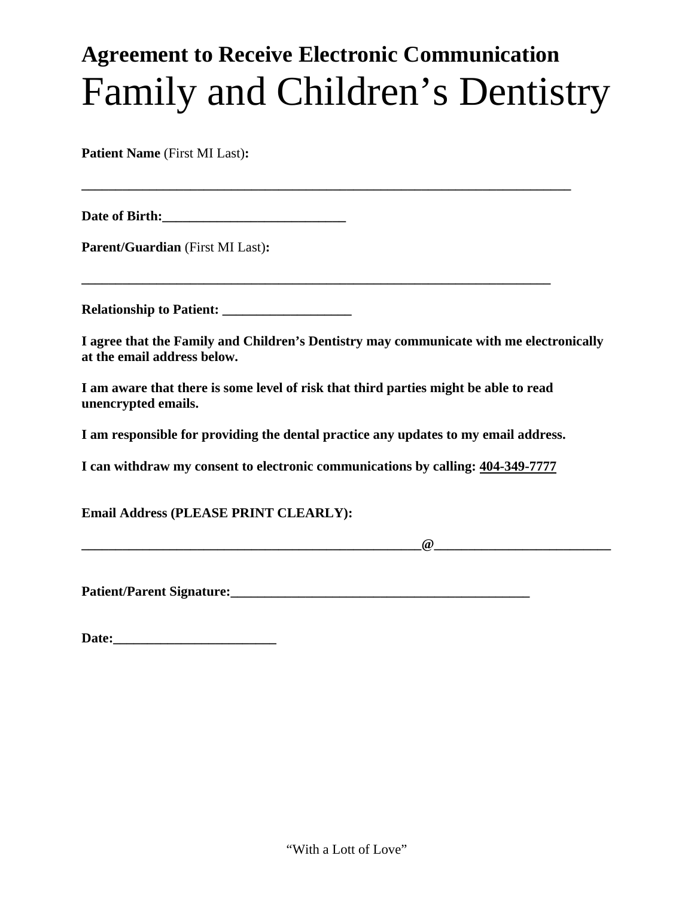# **Agreement to Receive Electronic Communication**  Family and Children's Dentistry

**\_\_\_\_\_\_\_\_\_\_\_\_\_\_\_\_\_\_\_\_\_\_\_\_\_\_\_\_\_\_\_\_\_\_\_\_\_\_\_\_\_\_\_\_\_\_\_\_\_\_\_\_\_\_\_\_\_\_\_\_\_\_\_\_\_\_\_\_\_\_\_\_** 

**Patient Name** (First MI Last)**:** 

**Date of Birth:\_\_\_\_\_\_\_\_\_\_\_\_\_\_\_\_\_\_\_\_\_\_\_\_\_\_\_** 

**Parent/Guardian** (First MI Last)**:** 

**Relationship to Patient: \_\_\_\_\_\_\_\_\_\_\_\_\_\_\_\_\_\_\_** 

**I agree that the Family and Children's Dentistry may communicate with me electronically at the email address below.** 

**I am aware that there is some level of risk that third parties might be able to read unencrypted emails.** 

**I am responsible for providing the dental practice any updates to my email address.** 

**I can withdraw my consent to electronic communications by calling: 404-349-7777**

**Email Address (PLEASE PRINT CLEARLY):** 

 $\omega$  , and the contract of  $\omega$ 

Patient/Parent Signature:

**Date:\_\_\_\_\_\_\_\_\_\_\_\_\_\_\_\_\_\_\_\_\_\_\_\_**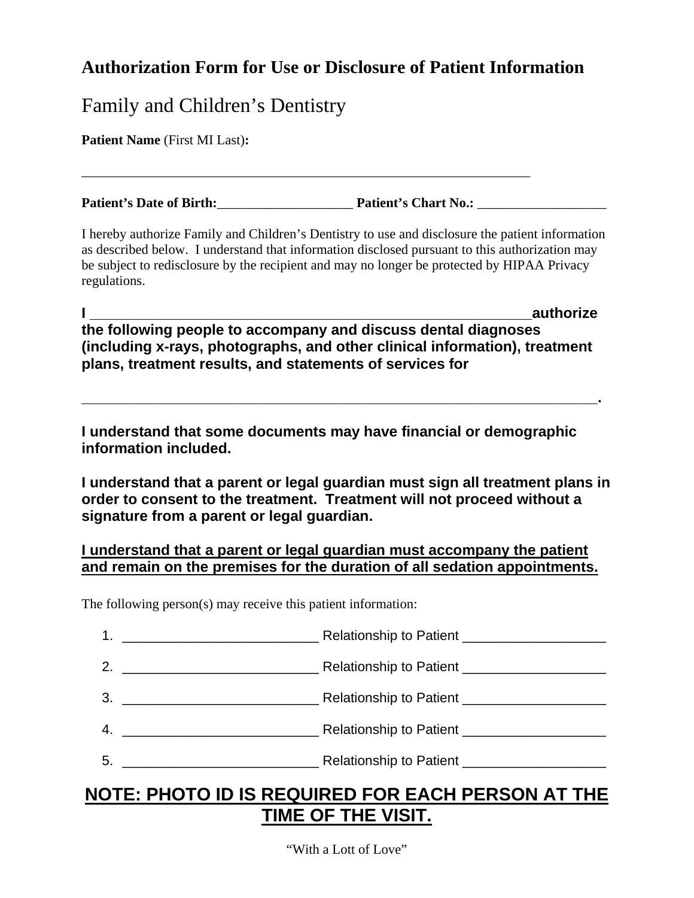# **Authorization Form for Use or Disclosure of Patient Information**

# Family and Children's Dentistry

**Patient Name** (First MI Last)**:** 

**Patient's Date of Birth:**\_\_\_\_\_\_\_\_\_\_\_\_\_\_\_\_\_\_\_\_ **Patient's Chart No.:** \_\_\_\_\_\_\_\_\_\_\_\_\_\_\_\_\_\_\_

\_\_\_\_\_\_\_\_\_\_\_\_\_\_\_\_\_\_\_\_\_\_\_\_\_\_\_\_\_\_\_\_\_\_\_\_\_\_\_\_\_\_\_\_\_\_\_\_\_\_\_\_\_\_\_\_\_\_\_\_\_\_\_\_\_\_

I hereby authorize Family and Children's Dentistry to use and disclosure the patient information as described below. I understand that information disclosed pursuant to this authorization may be subject to redisclosure by the recipient and may no longer be protected by HIPAA Privacy regulations.

**I \_\_\_\_\_\_\_\_\_\_\_\_\_\_\_\_\_\_\_\_\_\_\_\_\_\_\_\_\_\_\_\_\_\_\_\_\_\_\_\_\_\_\_\_\_\_\_\_\_\_\_\_\_\_authorize** 

**the following people to accompany and discuss dental diagnoses (including x-rays, photographs, and other clinical information), treatment plans, treatment results, and statements of services for** 

**\_\_\_\_\_\_\_\_\_\_\_\_\_\_\_\_\_\_\_\_\_\_\_\_\_\_\_\_\_\_\_\_\_\_\_\_\_\_\_\_\_\_\_\_\_\_\_\_\_\_\_\_\_\_\_\_\_\_\_\_\_\_\_.** 

**I understand that some documents may have financial or demographic information included.** 

**I understand that a parent or legal guardian must sign all treatment plans in order to consent to the treatment. Treatment will not proceed without a signature from a parent or legal guardian.** 

### **I understand that a parent or legal guardian must accompany the patient and remain on the premises for the duration of all sedation appointments.**

The following person(s) may receive this patient information:

| 1 <sub>1</sub>                                                                                                              |                                                              |
|-----------------------------------------------------------------------------------------------------------------------------|--------------------------------------------------------------|
| 2.                                                                                                                          | Relationship to Patient <b>Constant Constanting Constant</b> |
| 3.                                                                                                                          | Relationship to Patient ______________________               |
| 4.<br><u> 1980 - Jan Barbara (j. 1980)</u>                                                                                  | Relationship to Patient ______________________               |
| 5.<br><u> 1989 - Johann Barbara, martin amerikan basar dan berasal dalam basar dalam basar dalam basar dalam basar dala</u> | Relationship to Patient ________________________             |

# **NOTE: PHOTO ID IS REQUIRED FOR EACH PERSON AT THE TIME OF THE VISIT.**

"With a Lott of Love"